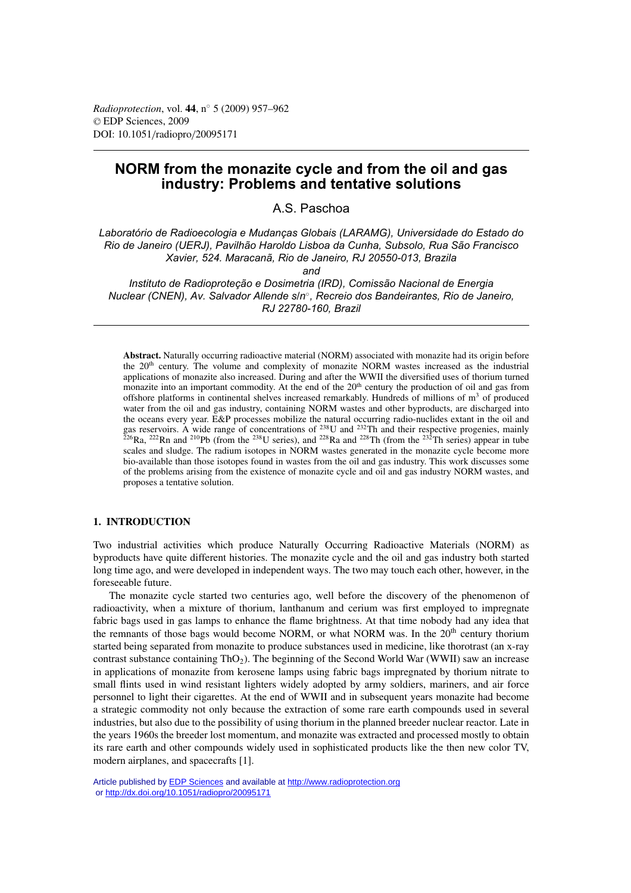# **NORM from the monazite cycle and from the oil and gas industry: Problems and tentative solutions**

A.S. Paschoa

*Laboratório de Radioecologia e Mudanças Globais (LARAMG), Universidade do Estado do Rio de Janeiro (UERJ), Pavilhão Haroldo Lisboa da Cunha, Subsolo, Rua São Francisco Xavier, 524. Maracanã, Rio de Janeiro, RJ 20550-013, Brazila*

*and*

*Instituto de Radioproteção e Dosimetria (IRD), Comissão Nacional de Energia Nuclear (CNEN), Av. Salvador Allende s/n*◦*, Recreio dos Bandeirantes, Rio de Janeiro, RJ 22780-160, Brazil*

**Abstract.** Naturally occurring radioactive material (NORM) associated with monazite had its origin before the 20th century. The volume and complexity of monazite NORM wastes increased as the industrial applications of monazite also increased. During and after the WWII the diversified uses of thorium turned monazite into an important commodity. At the end of the  $20<sup>th</sup>$  century the production of oil and gas from offshore platforms in continental shelves increased remarkably. Hundreds of millions of  $m<sup>3</sup>$  of produced water from the oil and gas industry, containing NORM wastes and other byproducts, are discharged into the oceans every year. E&P processes mobilize the natural occurring radio-nuclides extant in the oil and gas reservoirs. A wide range of concentrations of  $^{238}$ U and  $^{232}$ Th and their respective progenies, mainly <sup>226</sup>Ra, <sup>222</sup>Rn and <sup>210</sup>Pb (from the <sup>238</sup>U series), and <sup>228</sup>Ra and <sup>228</sup>Th (from the <sup>232</sup>Th series) appear in tube scales and sludge. The radium isotopes in NORM wastes generated in the monazite cycle become more bio-available than those isotopes found in wastes from the oil and gas industry. This work discusses some of the problems arising from the existence of monazite cycle and oil and gas industry NORM wastes, and proposes a tentative solution.

# **1. INTRODUCTION**

Two industrial activities which produce Naturally Occurring Radioactive Materials (NORM) as byproducts have quite different histories. The monazite cycle and the oil and gas industry both started long time ago, and were developed in independent ways. The two may touch each other, however, in the foreseeable future.

The monazite cycle started two centuries ago, well before the discovery of the phenomenon of radioactivity, when a mixture of thorium, lanthanum and cerium was first employed to impregnate fabric bags used in gas lamps to enhance the flame brightness. At that time nobody had any idea that the remnants of those bags would become NORM, or what NORM was. In the  $20<sup>th</sup>$  century thorium started being separated from monazite to produce substances used in medicine, like thorotrast (an x-ray contrast substance containing ThO<sub>2</sub>). The beginning of the Second World War (WWII) saw an increase in applications of monazite from kerosene lamps using fabric bags impregnated by thorium nitrate to small flints used in wind resistant lighters widely adopted by army soldiers, mariners, and air force personnel to light their cigarettes. At the end of WWII and in subsequent years monazite had become a strategic commodity not only because the extraction of some rare earth compounds used in several industries, but also due to the possibility of using thorium in the planned breeder nuclear reactor. Late in the years 1960s the breeder lost momentum, and monazite was extracted and processed mostly to obtain its rare earth and other compounds widely used in sophisticated products like the then new color TV, modern airplanes, and spacecrafts [1].

Article published by [EDP Sciences](http://www.edpsciences.org) and available at<http://www.radioprotection.org> or <http://dx.doi.org/10.1051/radiopro/20095171>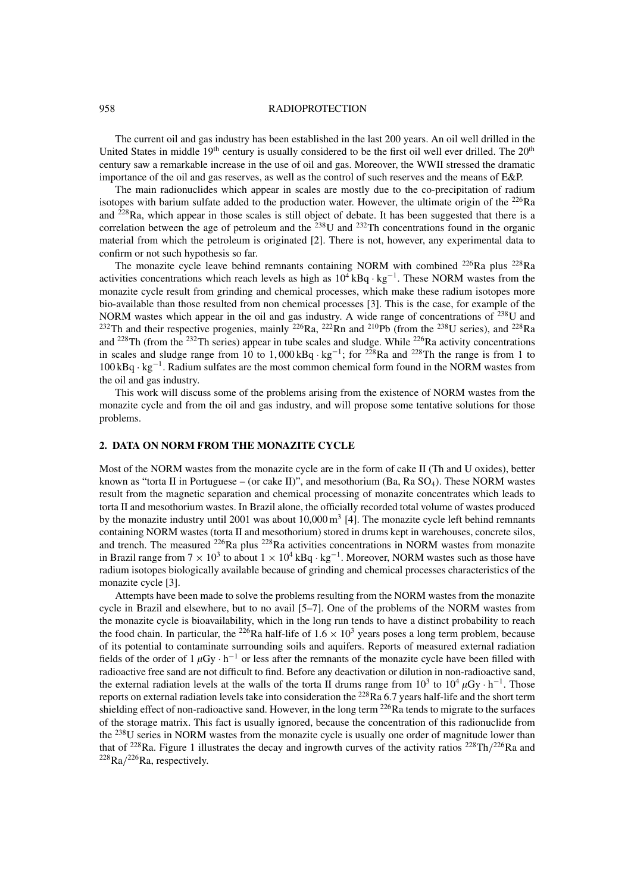#### 958 RADIOPROTECTION

The current oil and gas industry has been established in the last 200 years. An oil well drilled in the United States in middle  $19<sup>th</sup>$  century is usually considered to be the first oil well ever drilled. The  $20<sup>th</sup>$ century saw a remarkable increase in the use of oil and gas. Moreover, the WWII stressed the dramatic importance of the oil and gas reserves, as well as the control of such reserves and the means of E&P.

The main radionuclides which appear in scales are mostly due to the co-precipitation of radium isotopes with barium sulfate added to the production water. However, the ultimate origin of the  $^{226}$ Ra and 228Ra, which appear in those scales is still object of debate. It has been suggested that there is a correlation between the age of petroleum and the  $238$ U and  $232$ Th concentrations found in the organic material from which the petroleum is originated [2]. There is not, however, any experimental data to confirm or not such hypothesis so far.

The monazite cycle leave behind remnants containing NORM with combined <sup>226</sup>Ra plus <sup>228</sup>Ra activities concentrations which reach levels as high as  $10^4$  kBq · kg<sup>-1</sup>. These NORM wastes from the monazite cycle result from grinding and chemical processes, which make these radium isotopes more bio-available than those resulted from non chemical processes [3]. This is the case, for example of the NORM wastes which appear in the oil and gas industry. A wide range of concentrations of  $^{238}$ U and <sup>232</sup>Th and their respective progenies, mainly <sup>226</sup>Ra, <sup>222</sup>Rn and <sup>210</sup>Pb (from the <sup>238</sup>U series), and <sup>228</sup>Ra and 228Th (from the 232Th series) appear in tube scales and sludge. While 226Ra activity concentrations in scales and sludge range from 10 to 1,000 kBq · kg<sup>-1</sup>; for <sup>228</sup>Ra and <sup>228</sup>Th the range is from 1 to 100 kBq · kg−<sup>1</sup> . Radium sulfates are the most common chemical form found in the NORM wastes from the oil and gas industry.

This work will discuss some of the problems arising from the existence of NORM wastes from the monazite cycle and from the oil and gas industry, and will propose some tentative solutions for those problems.

## **2. DATA ON NORM FROM THE MONAZITE CYCLE**

Most of the NORM wastes from the monazite cycle are in the form of cake II (Th and U oxides), better known as "torta II in Portuguese – (or cake II)", and mesothorium (Ba, Ra  $SO<sub>4</sub>$ ). These NORM wastes result from the magnetic separation and chemical processing of monazite concentrates which leads to torta II and mesothorium wastes. In Brazil alone, the officially recorded total volume of wastes produced by the monazite industry until 2001 was about  $10,000 \text{ m}^3$  [4]. The monazite cycle left behind remnants containing NORM wastes (torta II and mesothorium) stored in drums kept in warehouses, concrete silos, and trench. The measured <sup>226</sup>Ra plus <sup>228</sup>Ra activities concentrations in NORM wastes from monazite in Brazil range from  $7 \times 10^3$  to about  $1 \times 10^4$  kBq · kg<sup>-1</sup>. Moreover, NORM wastes such as those have radium isotopes biologically available because of grinding and chemical processes characteristics of the monazite cycle [3].

Attempts have been made to solve the problems resulting from the NORM wastes from the monazite cycle in Brazil and elsewhere, but to no avail [5–7]. One of the problems of the NORM wastes from the monazite cycle is bioavailability, which in the long run tends to have a distinct probability to reach the food chain. In particular, the <sup>226</sup>Ra half-life of  $1.6 \times 10^3$  years poses a long term problem, because of its potential to contaminate surrounding soils and aquifers. Reports of measured external radiation fields of the order of  $1 \mu Gy \cdot h^{-1}$  or less after the remnants of the monazite cycle have been filled with radioactive free sand are not difficult to find. Before any deactivation or dilution in non-radioactive sand, the external radiation levels at the walls of the torta II drums range from  $10^3$  to  $10^4 \mu Gy \cdot h^{-1}$ . Those reports on external radiation levels take into consideration the  $^{228}Ra\ 6.7$  years half-life and the short term shielding effect of non-radioactive sand. However, in the long term  $^{226}$ Ra tends to migrate to the surfaces of the storage matrix. This fact is usually ignored, because the concentration of this radionuclide from the <sup>238</sup>U series in NORM wastes from the monazite cycle is usually one order of magnitude lower than that of <sup>228</sup>Ra. Figure 1 illustrates the decay and ingrowth curves of the activity ratios <sup>228</sup>Th/<sup>226</sup>Ra and  $228Ra/226Ra$ , respectively.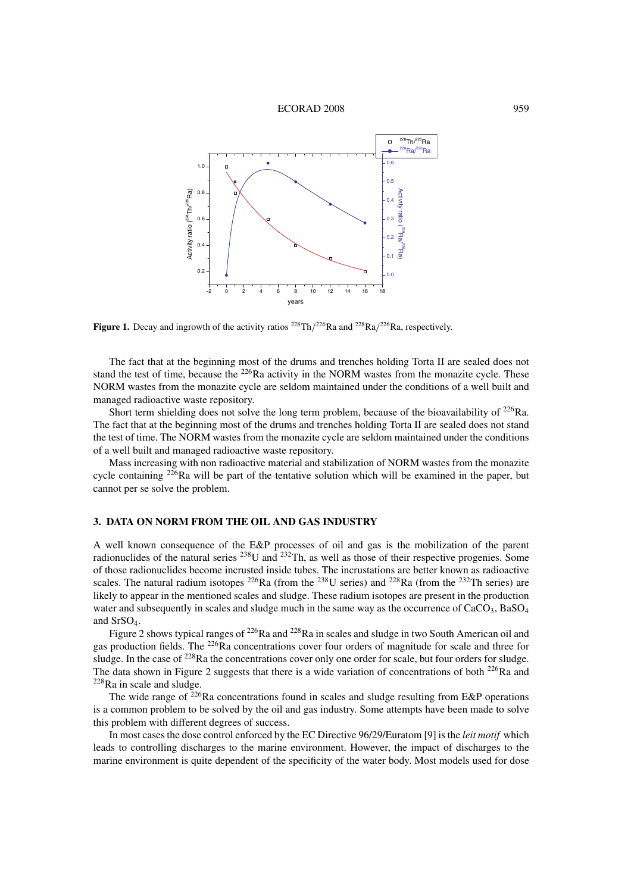#### ECORAD 2008 959



Figure 1. Decay and ingrowth of the activity ratios <sup>228</sup>Th/<sup>226</sup>Ra and <sup>228</sup>Ra/<sup>226</sup>Ra, respectively.

The fact that at the beginning most of the drums and trenches holding Torta II are sealed does not stand the test of time, because the <sup>226</sup>Ra activity in the NORM wastes from the monazite cycle. These NORM wastes from the monazite cycle are seldom maintained under the conditions of a well built and managed radioactive waste repository.

Short term shielding does not solve the long term problem, because of the bioavailability of <sup>226</sup>Ra. The fact that at the beginning most of the drums and trenches holding Torta II are sealed does not stand the test of time. The NORM wastes from the monazite cycle are seldom maintained under the conditions of a well built and managed radioactive waste repository.

Mass increasing with non radioactive material and stabilization of NORM wastes from the monazite cycle containing <sup>226</sup>Ra will be part of the tentative solution which will be examined in the paper, but cannot per se solve the problem.

## **3. DATA ON NORM FROM THE OIL AND GAS INDUSTRY**

A well known consequence of the E&P processes of oil and gas is the mobilization of the parent radionuclides of the natural series 238U and 232Th, as well as those of their respective progenies. Some of those radionuclides become incrusted inside tubes. The incrustations are better known as radioactive scales. The natural radium isotopes  $^{226}Ra$  (from the  $^{238}U$  series) and  $^{228}Ra$  (from the  $^{232}Th$  series) are likely to appear in the mentioned scales and sludge. These radium isotopes are present in the production water and subsequently in scales and sludge much in the same way as the occurrence of  $CaCO<sub>3</sub>$ , BaSO<sub>4</sub> and SrSO4.

Figure 2 shows typical ranges of <sup>226</sup>Ra and <sup>228</sup>Ra in scales and sludge in two South American oil and gas production fields. The 226Ra concentrations cover four orders of magnitude for scale and three for sludge. In the case of <sup>228</sup>Ra the concentrations cover only one order for scale, but four orders for sludge. The data shown in Figure 2 suggests that there is a wide variation of concentrations of both  $^{226}$ Ra and 228Ra in scale and sludge.

The wide range of  $^{226}$ Ra concentrations found in scales and sludge resulting from E&P operations is a common problem to be solved by the oil and gas industry. Some attempts have been made to solve this problem with different degrees of success.

In most cases the dose control enforced by the EC Directive 96/29/Euratom [9] is the *leit motif* which leads to controlling discharges to the marine environment. However, the impact of discharges to the marine environment is quite dependent of the specificity of the water body. Most models used for dose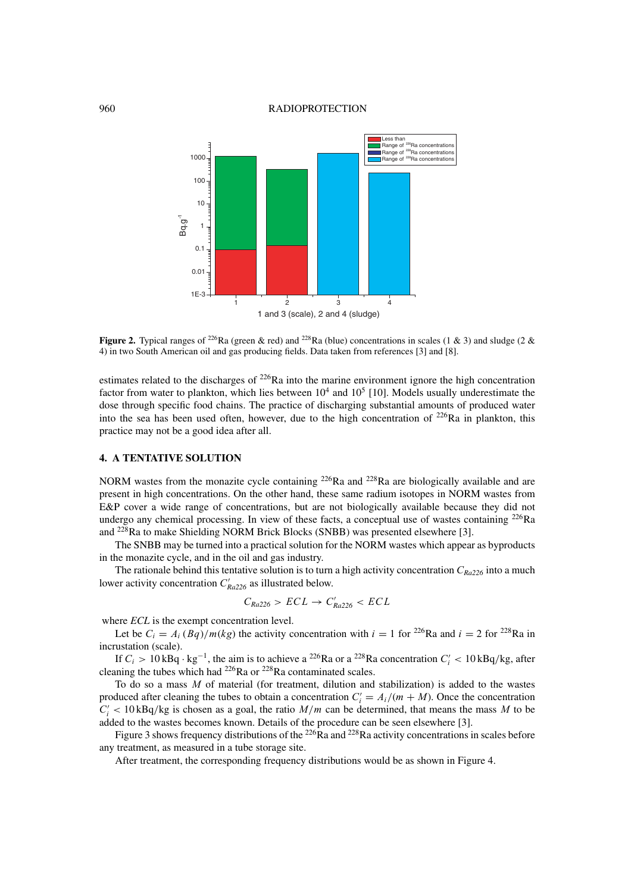## 960 RADIOPROTECTION



**Figure 2.** Typical ranges of <sup>226</sup>Ra (green & red) and <sup>228</sup>Ra (blue) concentrations in scales (1 & 3) and sludge (2 & 4) in two South American oil and gas producing fields. Data taken from references [3] and [8].

estimates related to the discharges of <sup>226</sup>Ra into the marine environment ignore the high concentration factor from water to plankton, which lies between  $10^4$  and  $10^5$  [10]. Models usually underestimate the dose through specific food chains. The practice of discharging substantial amounts of produced water into the sea has been used often, however, due to the high concentration of 226Ra in plankton, this practice may not be a good idea after all.

# **4. A TENTATIVE SOLUTION**

NORM wastes from the monazite cycle containing  $^{226}$ Ra and  $^{228}$ Ra are biologically available and are present in high concentrations. On the other hand, these same radium isotopes in NORM wastes from E&P cover a wide range of concentrations, but are not biologically available because they did not undergo any chemical processing. In view of these facts, a conceptual use of wastes containing  $^{226}Ra$ and 228Ra to make Shielding NORM Brick Blocks (SNBB) was presented elsewhere [3].

The SNBB may be turned into a practical solution for the NORM wastes which appear as byproducts in the monazite cycle, and in the oil and gas industry.

The rationale behind this tentative solution is to turn a high activity concentration <sup>C</sup>*Ra226* into a much lower activity concentration  $C'_{Ra226}$  as illustrated below.

$$
C_{Ra226} > ECL \rightarrow C'_{Ra226} < ECL
$$

where *ECL* is the exempt concentration level.

Let be  $C_i = A_i (Bq)/m(kg)$  the activity concentration with  $i = 1$  for <sup>226</sup>Ra and  $i = 2$  for <sup>228</sup>Ra in incrustation (scale).

If  $C_i > 10$  kBq·kg<sup>-1</sup>, the aim is to achieve a <sup>226</sup>Ra or a <sup>228</sup>Ra concentration  $C'_i < 10$  kBq/kg, after ning the tubes which had <sup>226</sup>Ra or <sup>228</sup>Ra contaminated scales cleaning the tubes which had <sup>226</sup>Ra or <sup>228</sup>Ra contaminated scales.

To do so a mass  $M$  of material (for treatment, dilution and stabilization) is added to the wastes produced after cleaning the tubes to obtain a concentration  $C_i' = A_i/(m + M)$ . Once the concentration  $C' > 10kBa/ka$  is chosen as a goal, the ratio  $M/m$  can be determined, that means the mass M to be  $C_i' < 10 \text{ kBq/kg}$  is chosen as a goal, the ratio  $M/m$  can be determined, that means the mass M to be added to the wastes becomes known. Details of the procedure can be seen elsewhere [3] added to the wastes becomes known. Details of the procedure can be seen elsewhere [3].

Figure 3 shows frequency distributions of the  $^{226}$ Ra and  $^{228}$ Ra activity concentrations in scales before any treatment, as measured in a tube storage site.

After treatment, the corresponding frequency distributions would be as shown in Figure 4.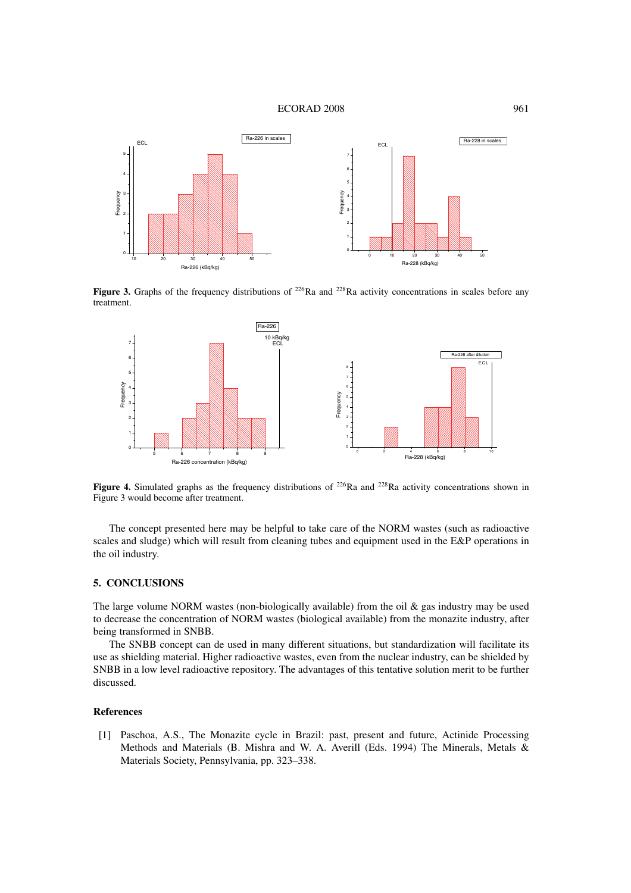#### ECORAD 2008 961



**Figure 3.** Graphs of the frequency distributions of  $^{226}Ra$  and  $^{228}Ra$  activity concentrations in scales before any treatment.



Figure 4. Simulated graphs as the frequency distributions of <sup>226</sup>Ra and <sup>228</sup>Ra activity concentrations shown in Figure 3 would become after treatment.

The concept presented here may be helpful to take care of the NORM wastes (such as radioactive scales and sludge) which will result from cleaning tubes and equipment used in the E&P operations in the oil industry.

## **5. CONCLUSIONS**

The large volume NORM wastes (non-biologically available) from the oil  $\&$  gas industry may be used to decrease the concentration of NORM wastes (biological available) from the monazite industry, after being transformed in SNBB.

The SNBB concept can de used in many different situations, but standardization will facilitate its use as shielding material. Higher radioactive wastes, even from the nuclear industry, can be shielded by SNBB in a low level radioactive repository. The advantages of this tentative solution merit to be further discussed.

## **References**

[1] Paschoa, A.S., The Monazite cycle in Brazil: past, present and future, Actinide Processing Methods and Materials (B. Mishra and W. A. Averill (Eds. 1994) The Minerals, Metals & Materials Society, Pennsylvania, pp. 323–338.